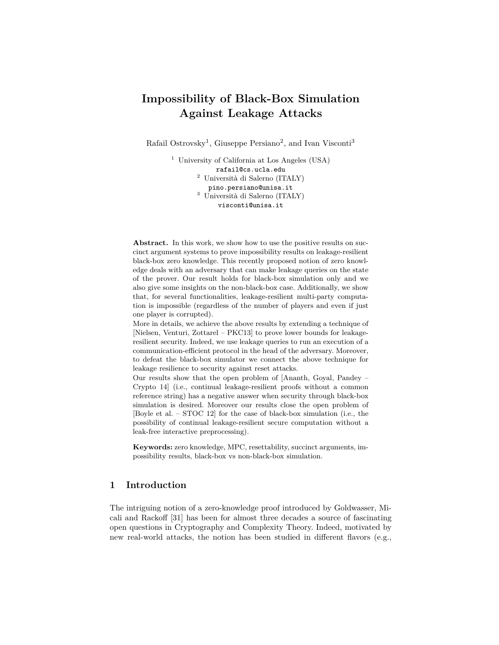# **Impossibility of Black-Box Simulation Against Leakage Attacks**

Rafail Ostrovsky<sup>1</sup>, Giuseppe Persiano<sup>2</sup>, and Ivan Visconti<sup>3</sup>

<sup>1</sup> University of California at Los Angeles (USA) rafail@cs.ucla.edu  $^2$ Università di Salerno (ITALY) pino.persiano@unisa.it  $^3$ Università di Salerno (ITALY) visconti@unisa.it

Abstract. In this work, we show how to use the positive results on succinct argument systems to prove impossibility results on leakage-resilient black-box zero knowledge. This recently proposed notion of zero knowledge deals with an adversary that can make leakage queries on the state of the prover. Our result holds for black-box simulation only and we also give some insights on the non-black-box case. Additionally, we show that, for several functionalities, leakage-resilient multi-party computation is impossible (regardless of the number of players and even if just one player is corrupted).

More in details, we achieve the above results by extending a technique of [Nielsen, Venturi, Zottarel – PKC13] to prove lower bounds for leakageresilient security. Indeed, we use leakage queries to run an execution of a communication-efficient protocol in the head of the adversary. Moreover, to defeat the black-box simulator we connect the above technique for leakage resilience to security against reset attacks.

Our results show that the open problem of [Ananth, Goyal, Pandey – Crypto 14] (i.e., continual leakage-resilient proofs without a common reference string) has a negative answer when security through black-box simulation is desired. Moreover our results close the open problem of [Boyle et al. – STOC 12] for the case of black-box simulation (i.e., the possibility of continual leakage-resilient secure computation without a leak-free interactive preprocessing).

**Keywords:** zero knowledge, MPC, resettability, succinct arguments, impossibility results, black-box vs non-black-box simulation.

# **1 Introduction**

The intriguing notion of a zero-knowledge proof introduced by Goldwasser, Micali and Rackoff [31] has been for almost three decades a source of fascinating open questions in Cryptography and Complexity Theory. Indeed, motivated by new real-world attacks, the notion has been studied in different flavors (e.g.,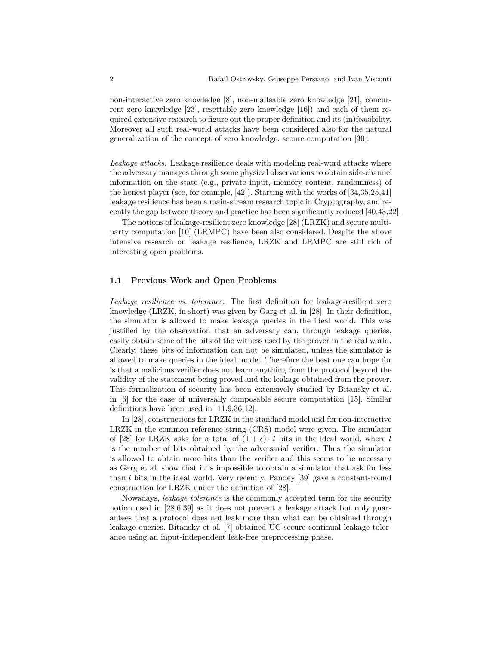non-interactive zero knowledge [8], non-malleable zero knowledge [21], concurrent zero knowledge [23], resettable zero knowledge [16]) and each of them required extensive research to figure out the proper definition and its (in)feasibility. Moreover all such real-world attacks have been considered also for the natural generalization of the concept of zero knowledge: secure computation [30].

*Leakage attacks.* Leakage resilience deals with modeling real-word attacks where the adversary manages through some physical observations to obtain side-channel information on the state (e.g., private input, memory content, randomness) of the honest player (see, for example, [42]). Starting with the works of [34,35,25,41] leakage resilience has been a main-stream research topic in Cryptography, and recently the gap between theory and practice has been significantly reduced [40,43,22].

The notions of leakage-resilient zero knowledge [28] (LRZK) and secure multiparty computation [10] (LRMPC) have been also considered. Despite the above intensive research on leakage resilience, LRZK and LRMPC are still rich of interesting open problems.

## **1.1 Previous Work and Open Problems**

*Leakage resilience vs. tolerance.* The first definition for leakage-resilient zero knowledge (LRZK, in short) was given by Garg et al. in [28]. In their definition, the simulator is allowed to make leakage queries in the ideal world. This was justified by the observation that an adversary can, through leakage queries, easily obtain some of the bits of the witness used by the prover in the real world. Clearly, these bits of information can not be simulated, unless the simulator is allowed to make queries in the ideal model. Therefore the best one can hope for is that a malicious verifier does not learn anything from the protocol beyond the validity of the statement being proved and the leakage obtained from the prover. This formalization of security has been extensively studied by Bitansky et al. in [6] for the case of universally composable secure computation [15]. Similar definitions have been used in [11,9,36,12].

In [28], constructions for LRZK in the standard model and for non-interactive LRZK in the common reference string (CRS) model were given. The simulator of [28] for LRZK asks for a total of  $(1 + \epsilon) \cdot l$  bits in the ideal world, where *l* is the number of bits obtained by the adversarial verifier. Thus the simulator is allowed to obtain more bits than the verifier and this seems to be necessary as Garg et al. show that it is impossible to obtain a simulator that ask for less than *l* bits in the ideal world. Very recently, Pandey [39] gave a constant-round construction for LRZK under the definition of [28].

Nowadays, *leakage tolerance* is the commonly accepted term for the security notion used in [28,6,39] as it does not prevent a leakage attack but only guarantees that a protocol does not leak more than what can be obtained through leakage queries. Bitansky et al. [7] obtained UC-secure continual leakage tolerance using an input-independent leak-free preprocessing phase.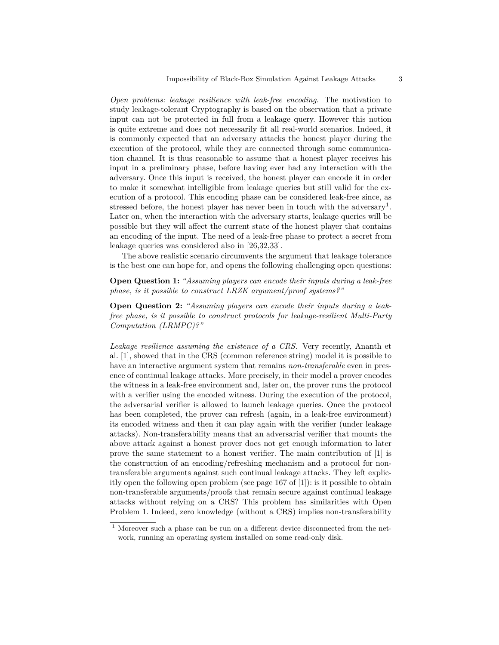*Open problems: leakage resilience with leak-free encoding.* The motivation to study leakage-tolerant Cryptography is based on the observation that a private input can not be protected in full from a leakage query. However this notion is quite extreme and does not necessarily fit all real-world scenarios. Indeed, it is commonly expected that an adversary attacks the honest player during the execution of the protocol, while they are connected through some communication channel. It is thus reasonable to assume that a honest player receives his input in a preliminary phase, before having ever had any interaction with the adversary. Once this input is received, the honest player can encode it in order to make it somewhat intelligible from leakage queries but still valid for the execution of a protocol. This encoding phase can be considered leak-free since, as stressed before, the honest player has never been in touch with the adversary<sup>1</sup>. Later on, when the interaction with the adversary starts, leakage queries will be possible but they will affect the current state of the honest player that contains an encoding of the input. The need of a leak-free phase to protect a secret from leakage queries was considered also in [26,32,33].

The above realistic scenario circumvents the argument that leakage tolerance is the best one can hope for, and opens the following challenging open questions:

**Open Question 1:** *"Assuming players can encode their inputs during a leak-free phase, is it possible to construct LRZK argument/proof systems?"*

**Open Question 2:** *"Assuming players can encode their inputs during a leakfree phase, is it possible to construct protocols for leakage-resilient Multi-Party Computation (LRMPC)?"*

*Leakage resilience assuming the existence of a CRS.* Very recently, Ananth et al. [1], showed that in the CRS (common reference string) model it is possible to have an interactive argument system that remains *non-transferable* even in presence of continual leakage attacks. More precisely, in their model a prover encodes the witness in a leak-free environment and, later on, the prover runs the protocol with a verifier using the encoded witness. During the execution of the protocol, the adversarial verifier is allowed to launch leakage queries. Once the protocol has been completed, the prover can refresh (again, in a leak-free environment) its encoded witness and then it can play again with the verifier (under leakage attacks). Non-transferability means that an adversarial verifier that mounts the above attack against a honest prover does not get enough information to later prove the same statement to a honest verifier. The main contribution of [1] is the construction of an encoding/refreshing mechanism and a protocol for nontransferable arguments against such continual leakage attacks. They left explicitly open the following open problem (see page 167 of [1]): is it possible to obtain non-transferable arguments/proofs that remain secure against continual leakage attacks without relying on a CRS? This problem has similarities with Open Problem 1. Indeed, zero knowledge (without a CRS) implies non-transferability

 $^{\rm 1}$  Moreover such a phase can be run on a different device disconnected from the network, running an operating system installed on some read-only disk.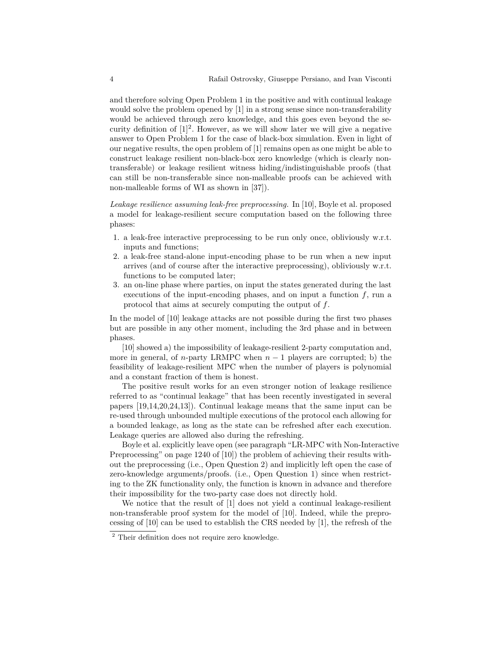and therefore solving Open Problem 1 in the positive and with continual leakage would solve the problem opened by [1] in a strong sense since non-transferability would be achieved through zero knowledge, and this goes even beyond the security definition of  $[1]^2$ . However, as we will show later we will give a negative answer to Open Problem 1 for the case of black-box simulation. Even in light of our negative results, the open problem of [1] remains open as one might be able to construct leakage resilient non-black-box zero knowledge (which is clearly nontransferable) or leakage resilient witness hiding/indistinguishable proofs (that can still be non-transferable since non-malleable proofs can be achieved with non-malleable forms of WI as shown in [37]).

*Leakage resilience assuming leak-free preprocessing.* In [10], Boyle et al. proposed a model for leakage-resilient secure computation based on the following three phases:

- 1. a leak-free interactive preprocessing to be run only once, obliviously w.r.t. inputs and functions;
- 2. a leak-free stand-alone input-encoding phase to be run when a new input arrives (and of course after the interactive preprocessing), obliviously w.r.t. functions to be computed later;
- 3. an on-line phase where parties, on input the states generated during the last executions of the input-encoding phases, and on input a function *f*, run a protocol that aims at securely computing the output of *f*.

In the model of [10] leakage attacks are not possible during the first two phases but are possible in any other moment, including the 3rd phase and in between phases.

[10] showed a) the impossibility of leakage-resilient 2-party computation and, more in general, of *n*-party LRMPC when  $n-1$  players are corrupted; b) the feasibility of leakage-resilient MPC when the number of players is polynomial and a constant fraction of them is honest.

The positive result works for an even stronger notion of leakage resilience referred to as "continual leakage" that has been recently investigated in several papers [19,14,20,24,13]). Continual leakage means that the same input can be re-used through unbounded multiple executions of the protocol each allowing for a bounded leakage, as long as the state can be refreshed after each execution. Leakage queries are allowed also during the refreshing.

Boyle et al. explicitly leave open (see paragraph "LR-MPC with Non-Interactive Preprocessing" on page 1240 of [10]) the problem of achieving their results without the preprocessing (i.e., Open Question 2) and implicitly left open the case of zero-knowledge arguments/proofs. (i.e., Open Question 1) since when restricting to the ZK functionality only, the function is known in advance and therefore their impossibility for the two-party case does not directly hold.

We notice that the result of [1] does not yield a continual leakage-resilient non-transferable proof system for the model of [10]. Indeed, while the preprocessing of [10] can be used to establish the CRS needed by [1], the refresh of the

 $\overline{a}$ <sup>2</sup> Their definition does not require zero knowledge.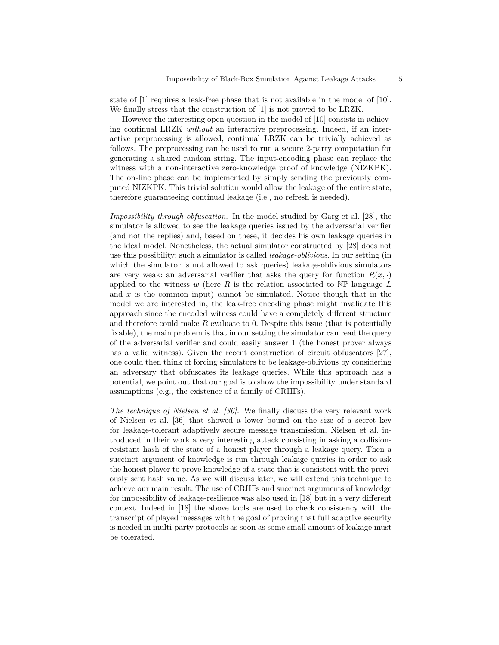state of [1] requires a leak-free phase that is not available in the model of [10]. We finally stress that the construction of [1] is not proved to be LRZK.

However the interesting open question in the model of [10] consists in achieving continual LRZK *without* an interactive preprocessing. Indeed, if an interactive preprocessing is allowed, continual LRZK can be trivially achieved as follows. The preprocessing can be used to run a secure 2-party computation for generating a shared random string. The input-encoding phase can replace the witness with a non-interactive zero-knowledge proof of knowledge (NIZKPK). The on-line phase can be implemented by simply sending the previously computed NIZKPK. This trivial solution would allow the leakage of the entire state, therefore guaranteeing continual leakage (i.e., no refresh is needed).

*Impossibility through obfuscation.* In the model studied by Garg et al. [28], the simulator is allowed to see the leakage queries issued by the adversarial verifier (and not the replies) and, based on these, it decides his own leakage queries in the ideal model. Nonetheless, the actual simulator constructed by [28] does not use this possibility; such a simulator is called *leakage-oblivious*. In our setting (in which the simulator is not allowed to ask queries) leakage-oblivious simulators are very weak: an adversarial verifier that asks the query for function  $R(x, \cdot)$ applied to the witness *w* (here *R* is the relation associated to  $NP$  language *L* and *x* is the common input) cannot be simulated. Notice though that in the model we are interested in, the leak-free encoding phase might invalidate this approach since the encoded witness could have a completely different structure and therefore could make *R* evaluate to 0. Despite this issue (that is potentially fixable), the main problem is that in our setting the simulator can read the query of the adversarial verifier and could easily answer 1 (the honest prover always has a valid witness). Given the recent construction of circuit obfuscators [27], one could then think of forcing simulators to be leakage-oblivious by considering an adversary that obfuscates its leakage queries. While this approach has a potential, we point out that our goal is to show the impossibility under standard assumptions (e.g., the existence of a family of CRHFs).

*The technique of Nielsen et al. [36].* We finally discuss the very relevant work of Nielsen et al. [36] that showed a lower bound on the size of a secret key for leakage-tolerant adaptively secure message transmission. Nielsen et al. introduced in their work a very interesting attack consisting in asking a collisionresistant hash of the state of a honest player through a leakage query. Then a succinct argument of knowledge is run through leakage queries in order to ask the honest player to prove knowledge of a state that is consistent with the previously sent hash value. As we will discuss later, we will extend this technique to achieve our main result. The use of CRHFs and succinct arguments of knowledge for impossibility of leakage-resilience was also used in [18] but in a very different context. Indeed in [18] the above tools are used to check consistency with the transcript of played messages with the goal of proving that full adaptive security is needed in multi-party protocols as soon as some small amount of leakage must be tolerated.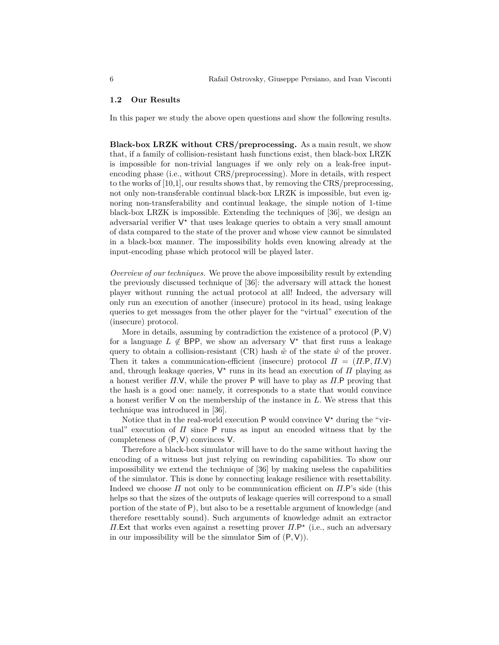#### **1.2 Our Results**

In this paper we study the above open questions and show the following results.

**Black-box LRZK without CRS/preprocessing.** As a main result, we show that, if a family of collision-resistant hash functions exist, then black-box LRZK is impossible for non-trivial languages if we only rely on a leak-free inputencoding phase (i.e., without CRS/preprocessing). More in details, with respect to the works of [10,1], our results shows that, by removing the CRS/preprocessing, not only non-transferable continual black-box LRZK is impossible, but even ignoring non-transferability and continual leakage, the simple notion of 1-time black-box LRZK is impossible. Extending the techniques of [36], we design an adversarial verifier  $V^*$  that uses leakage queries to obtain a very small amount of data compared to the state of the prover and whose view cannot be simulated in a black-box manner. The impossibility holds even knowing already at the input-encoding phase which protocol will be played later.

*Overview of our techniques.* We prove the above impossibility result by extending the previously discussed technique of [36]: the adversary will attack the honest player without running the actual protocol at all! Indeed, the adversary will only run an execution of another (insecure) protocol in its head, using leakage queries to get messages from the other player for the "virtual" execution of the (insecure) protocol.

More in details, assuming by contradiction the existence of a protocol (P*,* V) for a language  $L \notin \text{BPP}$ , we show an adversary  $\mathsf{V}^*$  that first runs a leakage query to obtain a collision-resistant (CR) hash  $\tilde{w}$  of the state  $\hat{w}$  of the prover. Then it takes a communication-efficient (insecure) protocol *Π* = (*Π.*P*, Π.*V) and, through leakage queries, V *?* runs in its head an execution of *Π* playing as a honest verifier *Π.*V, while the prover P will have to play as *Π.*P proving that the hash is a good one: namely, it corresponds to a state that would convince a honest verifier V on the membership of the instance in *L*. We stress that this technique was introduced in [36].

Notice that in the real-world execution  $P$  would convince  $V^*$  during the "virtual" execution of *Π* since P runs as input an encoded witness that by the completeness of (P*,* V) convinces V.

Therefore a black-box simulator will have to do the same without having the encoding of a witness but just relying on rewinding capabilities. To show our impossibility we extend the technique of [36] by making useless the capabilities of the simulator. This is done by connecting leakage resilience with resettability. Indeed we choose *Π* not only to be communication efficient on *Π.*P's side (this helps so that the sizes of the outputs of leakage queries will correspond to a small portion of the state of P), but also to be a resettable argument of knowledge (and therefore resettably sound). Such arguments of knowledge admit an extractor *Π*. Ext that works even against a resetting prover  $\Pi$ . P<sup>\*</sup> (i.e., such an adversary in our impossibility will be the simulator Sim of (P*,* V)).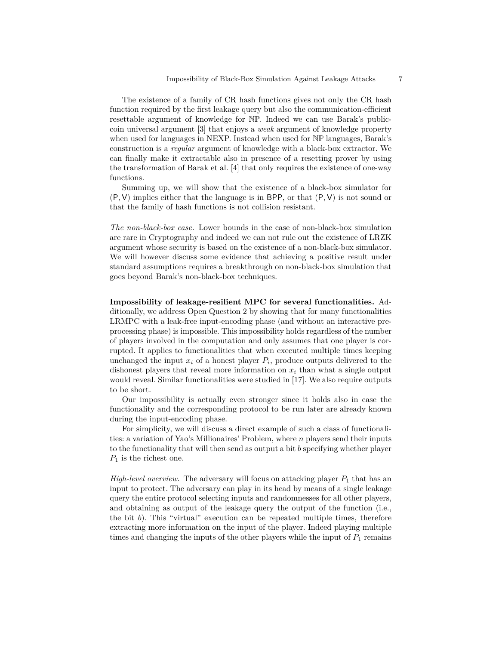The existence of a family of CR hash functions gives not only the CR hash function required by the first leakage query but also the communication-efficient resettable argument of knowledge for NP. Indeed we can use Barak's publiccoin universal argument [3] that enjoys a *weak* argument of knowledge property when used for languages in NEXP. Instead when used for NP languages, Barak's construction is a *regular* argument of knowledge with a black-box extractor. We can finally make it extractable also in presence of a resetting prover by using the transformation of Barak et al. [4] that only requires the existence of one-way functions.

Summing up, we will show that the existence of a black-box simulator for (P*,* V) implies either that the language is in BPP, or that (P*,* V) is not sound or that the family of hash functions is not collision resistant.

*The non-black-box case.* Lower bounds in the case of non-black-box simulation are rare in Cryptography and indeed we can not rule out the existence of LRZK argument whose security is based on the existence of a non-black-box simulator. We will however discuss some evidence that achieving a positive result under standard assumptions requires a breakthrough on non-black-box simulation that goes beyond Barak's non-black-box techniques.

**Impossibility of leakage-resilient MPC for several functionalities.** Additionally, we address Open Question 2 by showing that for many functionalities LRMPC with a leak-free input-encoding phase (and without an interactive preprocessing phase) is impossible. This impossibility holds regardless of the number of players involved in the computation and only assumes that one player is corrupted. It applies to functionalities that when executed multiple times keeping unchanged the input  $x_i$  of a honest player  $P_i$ , produce outputs delivered to the dishonest players that reveal more information on *x<sup>i</sup>* than what a single output would reveal. Similar functionalities were studied in [17]. We also require outputs to be short.

Our impossibility is actually even stronger since it holds also in case the functionality and the corresponding protocol to be run later are already known during the input-encoding phase.

For simplicity, we will discuss a direct example of such a class of functionalities: a variation of Yao's Millionaires' Problem, where *n* players send their inputs to the functionality that will then send as output a bit *b* specifying whether player *P*<sup>1</sup> is the richest one.

*High-level overview.* The adversary will focus on attacking player *P*<sup>1</sup> that has an input to protect. The adversary can play in its head by means of a single leakage query the entire protocol selecting inputs and randomnesses for all other players, and obtaining as output of the leakage query the output of the function (i.e., the bit *b*). This "virtual" execution can be repeated multiple times, therefore extracting more information on the input of the player. Indeed playing multiple times and changing the inputs of the other players while the input of  $P_1$  remains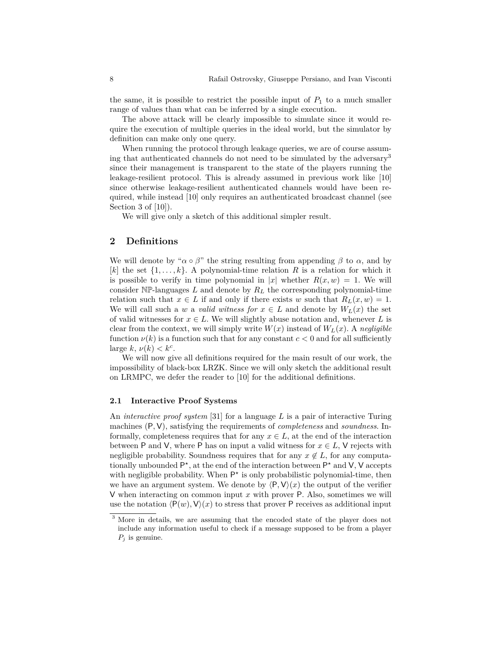the same, it is possible to restrict the possible input of  $P_1$  to a much smaller range of values than what can be inferred by a single execution.

The above attack will be clearly impossible to simulate since it would require the execution of multiple queries in the ideal world, but the simulator by definition can make only one query.

When running the protocol through leakage queries, we are of course assuming that authenticated channels do not need to be simulated by the adversary<sup>3</sup> since their management is transparent to the state of the players running the leakage-resilient protocol. This is already assumed in previous work like [10] since otherwise leakage-resilient authenticated channels would have been required, while instead [10] only requires an authenticated broadcast channel (see Section 3 of [10]).

We will give only a sketch of this additional simpler result.

## **2 Definitions**

We will denote by " $\alpha \circ \beta$ " the string resulting from appending  $\beta$  to  $\alpha$ , and by [*k*] the set  $\{1, \ldots, k\}$ . A polynomial-time relation *R* is a relation for which it is possible to verify in time polynomial in |*x*| whether  $R(x, w) = 1$ . We will consider  $N\mathbb{P}$ -languages *L* and denote by  $R_L$  the corresponding polynomial-time relation such that  $x \in L$  if and only if there exists *w* such that  $R_L(x, w) = 1$ . We will call such a *w* a *valid witness for*  $x \in L$  and denote by  $W_L(x)$  the set of valid witnesses for  $x \in L$ . We will slightly abuse notation and, whenever L is clear from the context, we will simply write  $W(x)$  instead of  $W_L(x)$ . A *negligible* function  $\nu(k)$  is a function such that for any constant  $c < 0$  and for all sufficiently large  $k, \nu(k) < k^c$ .

We will now give all definitions required for the main result of our work, the impossibility of black-box LRZK. Since we will only sketch the additional result on LRMPC, we defer the reader to [10] for the additional definitions.

#### **2.1 Interactive Proof Systems**

An *interactive proof system* [31] for a language *L* is a pair of interactive Turing machines (P*,* V), satisfying the requirements of *completeness* and *soundness*. Informally, completeness requires that for any  $x \in L$ , at the end of the interaction between P and V, where P has on input a valid witness for  $x \in L$ , V rejects with negligible probability. Soundness requires that for any  $x \notin L$ , for any computationally unbounded  $P^*$ , at the end of the interaction between  $P^*$  and  $V$ ,  $V$  accepts with negligible probability. When  $P^*$  is only probabilistic polynomial-time, then we have an argument system. We denote by  $\langle P, V \rangle (x)$  the output of the verifier V when interacting on common input *x* with prover P. Also, sometimes we will use the notation  $\langle P(w), V \rangle(x)$  to stress that prover P receives as additional input

<sup>3</sup> More in details, we are assuming that the encoded state of the player does not include any information useful to check if a message supposed to be from a player  $P_j$  is genuine.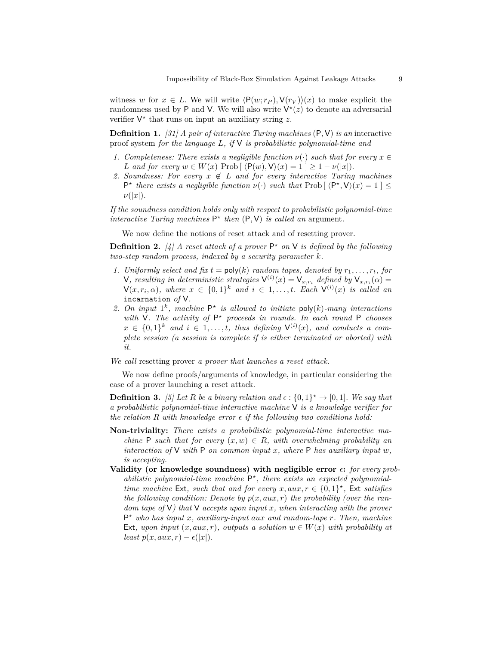witness *w* for  $x \in L$ . We will write  $\langle P(w; r_P), V(r_V) \rangle (x)$  to make explicit the randomness used by  $P$  and  $V$ . We will also write  $V^*(z)$  to denote an adversarial verifier  $V^*$  that runs on input an auxiliary string  $z$ .

**Definition 1.** *[31] A pair of interactive Turing machines* (P*,* V) *is an* interactive proof system *for the language L, if* V *is probabilistic polynomial-time and*

- *1. Completeness: There exists a negligible function*  $\nu(\cdot)$  *such that for every*  $x \in \mathbb{R}$ *L* and for every  $w \in W(x)$  Prob  $\left[\langle P(w), V \rangle(x) = 1\right] > 1 - \nu(|x|)$ .
- 2. Soundness: For every  $x \notin L$  and for every interactive Turing machines  $P^*$  there exists a negligible function  $\nu(\cdot)$  such that  $\text{Prob}[\langle P^*, V \rangle(x) = 1] \leq$  $\nu(|x|)$ .

*If the soundness condition holds only with respect to probabilistic polynomial-time interactive Turing machines*  $P^*$  *then*  $(P, V)$  *is called an* argument.

We now define the notions of reset attack and of resetting prover.

**Definition 2.** [4] A reset attack of a prover  $P^*$  on V is defined by the following *two-step random process, indexed by a security parameter k.*

- *1. Uniformly select and fix*  $t = \text{poly}(k)$  *random tapes, denoted by*  $r_1, \ldots, r_t$ *, for*  $V$ , resulting in deterministic strategies  $V^{(i)}(x) = V_{x,r_i}$  defined by  $V_{x,r_i}(\alpha) =$  $\mathsf{V}(x,r_i,\alpha)$ , where  $x \in \{0,1\}^k$  and  $i \in 1,\ldots,t$ . Each  $\mathsf{V}^{(i)}(x)$  is called an incarnation *of* V*.*
- 2. On input  $1^k$ , machine  $P^*$  is allowed to initiate  $\text{poly}(k)$ -many interactions *with* V*. The activity of* P *? proceeds in rounds. In each round* P *chooses*  $x \in \{0,1\}^k$  and  $i \in 1,\ldots,t$ , thus defining  $\mathsf{V}^{(i)}(x)$ , and conducts a com*plete session (a session is complete if is either terminated or aborted) with it.*

*We call* resetting prover *a prover that launches a reset attack.*

We now define proofs/arguments of knowledge, in particular considering the case of a prover launching a reset attack.

**Definition 3.** [5] Let R be a binary relation and  $\epsilon : \{0,1\}^* \to [0,1]$ . We say that *a probabilistic polynomial-time interactive machine* V *is a knowledge verifier for the relation*  $R$  *with knowledge error*  $\epsilon$  *if the following two conditions hold:* 

- **Non-triviality:** *There exists a probabilistic polynomial-time interactive machine* P *such that for every*  $(x, w) \in R$ *, with overwhelming probability an interaction of* V *with* P *on common input x, where* P *has auxiliary input w, is accepting.*
- **Validity (or knowledge soundness) with negligible error :** *for every probabilistic polynomial-time machine* P *? , there exists an expected polynomialtime machine* Ext, such that and for every  $x, aux, r \in \{0,1\}^{\star}$ , Ext satisfies *the following condition: Denote by*  $p(x, aux, r)$  *the probability (over the random tape of* V*) that* V *accepts upon input x, when interacting with the prover*  $P^*$  *who has input x, auxiliary-input aux and random-tape r. Then, machine* Ext, upon input  $(x, aux, r)$ , outputs a solution  $w \in W(x)$  with probability at *least*  $p(x, aux, r) - \epsilon(|x|)$ *.*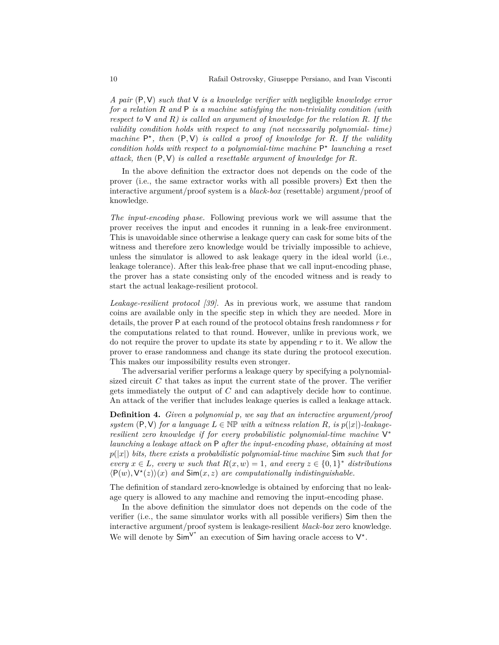*A pair* (P*,* V) *such that* V *is a knowledge verifier with* negligible *knowledge error for a relation R and* P *is a machine satisfying the non-triviality condition (with respect to* V *and R) is called an argument of knowledge for the relation R. If the validity condition holds with respect to any (not necessarily polynomial- time) machine*  $P^*$ *, then*  $(P, V)$  *is called a proof of knowledge for R. If the validity condition holds with respect to a polynomial-time machine*  $P^*$  *launching a reset attack, then* (P*,* V) *is called a resettable argument of knowledge for R.*

In the above definition the extractor does not depends on the code of the prover (i.e., the same extractor works with all possible provers) Ext then the interactive argument/proof system is a *black-box* (resettable) argument/proof of knowledge.

*The input-encoding phase.* Following previous work we will assume that the prover receives the input and encodes it running in a leak-free environment. This is unavoidable since otherwise a leakage query can cask for some bits of the witness and therefore zero knowledge would be trivially impossible to achieve, unless the simulator is allowed to ask leakage query in the ideal world (i.e., leakage tolerance). After this leak-free phase that we call input-encoding phase, the prover has a state consisting only of the encoded witness and is ready to start the actual leakage-resilient protocol.

*Leakage-resilient protocol [39].* As in previous work, we assume that random coins are available only in the specific step in which they are needed. More in details, the prover P at each round of the protocol obtains fresh randomness *r* for the computations related to that round. However, unlike in previous work, we do not require the prover to update its state by appending *r* to it. We allow the prover to erase randomness and change its state during the protocol execution. This makes our impossibility results even stronger.

The adversarial verifier performs a leakage query by specifying a polynomialsized circuit  $C$  that takes as input the current state of the prover. The verifier gets immediately the output of *C* and can adaptively decide how to continue. An attack of the verifier that includes leakage queries is called a leakage attack.

**Definition 4.** *Given a polynomial p, we say that an interactive argument/proof system*  $(P, V)$  *for a language*  $L \in \mathbb{NP}$  *with a witness relation R, is*  $p(|x|)$ *-leakageresilient zero knowledge if for every probabilistic polynomial-time machine*  $V^*$ *launching a leakage attack on* P *after the input-encoding phase, obtaining at most p*(|*x*|) *bits, there exists a probabilistic polynomial-time machine* Sim *such that for every*  $x \in L$ *, every*  $w$  *such that*  $R(x, w) = 1$ *, and every*  $z \in \{0, 1\}^*$  *distributions*  $\langle P(w), V^*(z) \rangle (x)$  *and*  $\textsf{Sim}(x, z)$  *are computationally indistinguishable.* 

The definition of standard zero-knowledge is obtained by enforcing that no leakage query is allowed to any machine and removing the input-encoding phase.

In the above definition the simulator does not depends on the code of the verifier (i.e., the same simulator works with all possible verifiers) Sim then the interactive argument/proof system is leakage-resilient *black-box* zero knowledge. We will denote by  $\text{Sim}^{\mathsf{V}^*}$  an execution of  $\text{Sim}$  having oracle access to  $\mathsf{V}^*$ .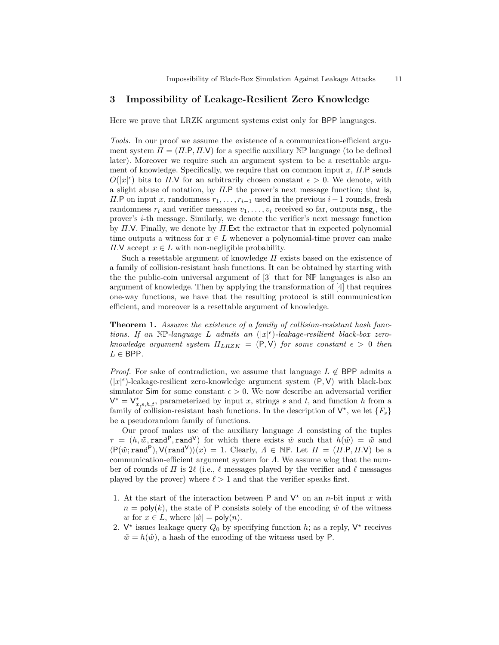# **3 Impossibility of Leakage-Resilient Zero Knowledge**

Here we prove that LRZK argument systems exist only for BPP languages.

*Tools.* In our proof we assume the existence of a communication-efficient argument system  $\Pi = (\Pi.P, \Pi.V)$  for a specific auxiliary  $N\mathbb{P}$  language (to be defined later). Moreover we require such an argument system to be a resettable argument of knowledge. Specifically, we require that on common input *x*, *Π.*P sends  $O(|x|^{\epsilon})$  bits to *Π.*V for an arbitrarily chosen constant  $\epsilon > 0$ . We denote, with a slight abuse of notation, by *Π.*P the prover's next message function; that is, *Π.* P on input *x*, randomness  $r_1, \ldots, r_{i-1}$  used in the previous  $i-1$  rounds, fresh randomness  $r_i$  and verifier messages  $v_1, \ldots, v_i$  received so far, outputs  $\text{msg}_i$ , the prover's *i*-th message. Similarly, we denote the verifier's next message function by *Π.*V. Finally, we denote by *Π.*Ext the extractor that in expected polynomial time outputs a witness for  $x \in L$  whenever a polynomial-time prover can make *Π.*V accept  $x \in L$  with non-negligible probability.

Such a resettable argument of knowledge *Π* exists based on the existence of a family of collision-resistant hash functions. It can be obtained by starting with the the public-coin universal argument of [3] that for NP languages is also an argument of knowledge. Then by applying the transformation of [4] that requires one-way functions, we have that the resulting protocol is still communication efficient, and moreover is a resettable argument of knowledge.

**Theorem 1.** *Assume the existence of a family of collision-resistant hash functions. If an* NP*-language L admits an* (|*x*| )*-leakage-resilient black-box zeroknowledge argument system*  $\Pi_{LRZK} = (P, V)$  *for some constant*  $\epsilon > 0$  *then*  $L \in \text{BPP}$ .

*Proof.* For sake of contradiction, we assume that language  $L \notin BPP$  admits a  $(|x|^{\epsilon})$ -leakage-resilient zero-knowledge argument system  $(P, V)$  with black-box simulator Sim for some constant  $\epsilon > 0$ . We now describe an adversarial verifier  $\nabla^* = \nabla^*_{x,s,h,t}$ , parameterized by input *x*, strings *s* and *t*, and function *h* from a family of collision-resistant hash functions. In the description of  $\mathsf{V}^*$ , we let  $\{F_s\}$ be a pseudorandom family of functions.

Our proof makes use of the auxiliary language *Λ* consisting of the tuples  $\tau = (h, \tilde{w}, \text{rand}^P, \text{rand}^V)$  for which there exists  $\hat{w}$  such that  $h(\hat{w}) = \tilde{w}$  and  $\langle P(\hat{w}; \text{rand}^{\mathsf{P}}), V(\text{rand}^{\mathsf{V}}) \rangle(x) = 1$ . Clearly,  $\Lambda \in \mathbb{NP}$ . Let  $\Pi = (\Pi, \mathsf{P}, \Pi, \mathsf{V})$  be a communication-efficient argument system for *Λ*. We assume wlog that the number of rounds of *Π* is 2 $\ell$  (i.e.,  $\ell$  messages played by the verifier and  $\ell$  messages played by the prover) where  $\ell > 1$  and that the verifier speaks first.

- 1. At the start of the interaction between  $P$  and  $V^*$  on an *n*-bit input *x* with  $n = poly(k)$ , the state of P consists solely of the encoding  $\hat{w}$  of the witness *w* for  $x \in L$ , where  $|\hat{w}| = \text{poly}(n)$ .
- 2.  $V^*$  issues leakage query  $Q_0$  by specifying function *h*; as a reply,  $V^*$  receives  $\tilde{w} = h(\hat{w})$ , a hash of the encoding of the witness used by P.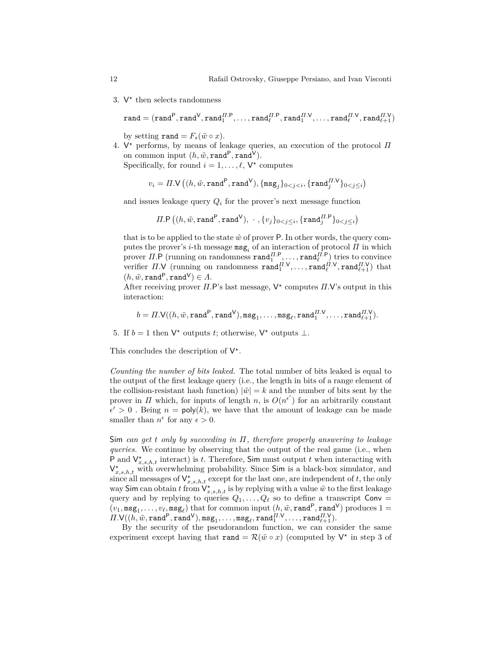3.  $V^*$  then selects randomness

 $\texttt{rand} = (\texttt{rand}^\mathsf{P}, \texttt{rand}^\mathsf{V}, \texttt{rand}^{I\Gamma,\mathsf{P}}, \ldots, \texttt{rand}^{I\Gamma,\mathsf{P}}_\ell, \texttt{rand}^{I\Gamma,\mathsf{V}}_1, \ldots, \texttt{rand}^{I\Gamma,\mathsf{V}}_\ell, \texttt{rand}^{I\Gamma,\mathsf{V}}_{\ell+1})$ 

by setting rand =  $F_s(\tilde{w} \circ x)$ .

4. V *?* performs, by means of leakage queries, an execution of the protocol *Π* on common input  $(h, \tilde{w}, \text{rand}^P, \text{rand}^V)$ .

Specifically, for round  $i = 1, \ldots, \ell, \mathsf{V}^*$  computes

$$
v_i = \Pi.\mathsf{V}\left((h,\tilde{w},\mathsf{rand}^\mathsf{P},\mathsf{rand}^\mathsf{V}),\{\mathsf{msg}_j\}_{0
$$

and issues leakage query  $Q_i$  for the prover's next message function

$$
\textit{II.P.}\left((h,\tilde{w},\texttt{rand}^\mathsf{P},\texttt{rand}^\mathsf{V}),{}~, \{v_j\}_{0 < j \leq i}, \{\texttt{rand}_j^{H,\mathsf{P}}\}_{0 < j \leq i}\right)
$$

that is to be applied to the state  $\hat{w}$  of prover P. In other words, the query computes the prover's *i*-th message  $\text{msg}_i$  of an interaction of protocol *Π* in which prover *Π.*Ρ (running on randomness rand<sup>*Π.*P</sup></sup>,..., rand<sup>*Π.*P</sup>) tries to convince verifier  $\Pi$ . V (running on randomness  $\text{rand}_1^{H,V}, \ldots, \text{rand}_\ell^{H,V}, \text{rand}_{\ell+1}^{H,V}$ ) that  $(h, \tilde{w}, \text{rand}^{\mathsf{P}}, \text{rand}^{\mathsf{V}}) \in \Lambda.$ 

After receiving prover  $\Pi$ .P's last message,  $V^*$  computes  $\Pi$ .V's output in this interaction:

$$
b = \text{II.V}((h, \tilde{w}, \text{rand}^{\mathsf{P}}, \text{rand}^{\mathsf{V}}), \text{msg}_1, \ldots, \text{msg}_\ell, \text{rand}_1^{\text{II.V}}, \ldots, \text{rand}_{\ell+1}^{\text{II.V}}).
$$

5. If  $b = 1$  then  $\mathsf{V}^*$  outputs *t*; otherwise,  $\mathsf{V}^*$  outputs  $\bot$ .

This concludes the description of  $V^*$ .

*Counting the number of bits leaked.* The total number of bits leaked is equal to the output of the first leakage query (i.e., the length in bits of a range element of the collision-resistant hash function)  $|\tilde{w}| = k$  and the number of bits sent by the prover in *Π* which, for inputs of length *n*, is  $O(n^{\epsilon'})$  for an arbitrarily constant  $\epsilon' > 0$ . Being  $n = \text{poly}(k)$ , we have that the amount of leakage can be made smaller than  $n^{\epsilon}$  for any  $\epsilon > 0$ .

Sim *can get t only by succeeding in Π, therefore properly answering to leakage queries.* We continue by observing that the output of the real game (i.e., when P and  $V_{x,s,h,t}^*$  interact) is *t*. Therefore, Sim must output *t* when interacting with  $V_{x,s,h,t}^{\star}$  with overwhelming probability. Since Sim is a black-box simulator, and since all messages of  $\mathsf{V}^\star_{x,s,h,t}$  except for the last one, are independent of *t*, the only way Sim can obtain t from  $V^*_{x,s,h,t}$  is by replying with a value  $\tilde{w}$  to the first leakage query and by replying to queries  $Q_1, \ldots, Q_\ell$  so to define a transcript Conv =  $(v_1, \text{msg}_1, \ldots, v_\ell, \text{msg}_\ell)$  that for common input  $(h, \tilde{w}, \text{rand}^P, \text{rand}^V)$  produces  $1 =$  $\Pi.\mathsf{V}((h,\tilde{w},\texttt{rand}^\mathsf{P},\texttt{rand}^\mathsf{V}),\texttt{msg}_1,\dots,\texttt{msg}_\ell,\texttt{rand}_1^{I\mathsf{I}.\mathsf{V}},\dots,\texttt{rand}_{\ell+1}^{I\mathsf{I}.\mathsf{V}}).$ 

By the security of the pseudorandom function, we can consider the same experiment except having that  $\text{rand} = \mathcal{R}(\tilde{w} \circ x)$  (computed by  $V^*$  in step 3 of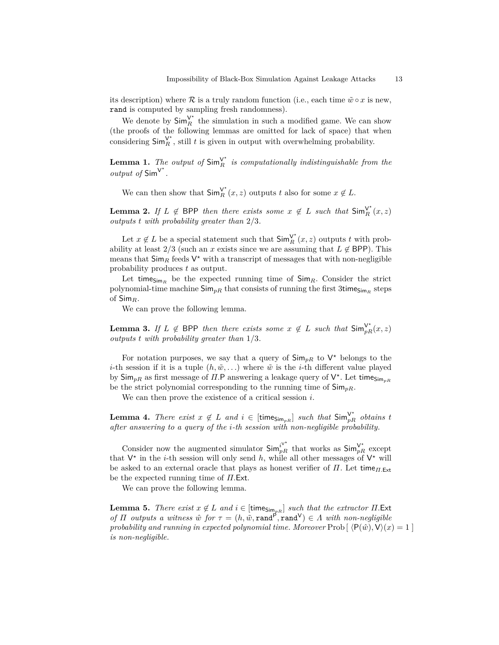its description) where  $\mathcal R$  is a truly random function (i.e., each time  $\tilde w \circ x$  is new, rand is computed by sampling fresh randomness).

We denote by  $\mathsf{Sim}^{\mathsf{V}^{\star}}_R$  the simulation in such a modified game. We can show (the proofs of the following lemmas are omitted for lack of space) that when considering  $\operatorname{Sim}^{\mathsf{V}^*}_{R}$ , still *t* is given in output with overwhelming probability.

**Lemma 1.** The output of  $\textsf{Sim}^{\mathsf{V}^{\star}}_R$  is computationally indistinguishable from the *output of* Sim<sup>V\*</sup>.

We can then show that  $\mathsf{Sim}_{R}^{\mathsf{V}^*}(x, z)$  outputs *t* also for some  $x \notin L$ .

**Lemma 2.** *If*  $L \notin \text{BPP}$  *then there exists some*  $x \notin L$  *such that*  $\text{Sim}_{R}^{\mathsf{V}^{\star}}(x, z)$ *outputs t with probability greater than* 2*/*3*.*

Let  $x \notin L$  be a special statement such that  $\mathsf{Sim}^{\mathsf{V}^{\star}}_R(x, z)$  outputs *t* with probability at least 2/3 (such an *x* exists since we are assuming that  $L \notin \text{BPP}$ ). This means that  $\mathsf{Sim}_R$  feeds  $\mathsf{V}^\star$  with a transcript of messages that with non-negligible probability produces *t* as output.

Let time $\varsigma_{\mathsf{im}_R}$  be the expected running time of  $\mathsf{Sim}_R$ . Consider the strict polynomial-time machine  $\mathsf{Sim}_{pR}$  that consists of running the first 3time<sub>Sim<sub>R</sub></sub> steps of Sim*R*.

We can prove the following lemma.

**Lemma 3.** *If*  $L \notin \text{BPP}$  *then there exists some*  $x \notin L$  *such that*  $\text{Sim}_{pR}^{\mathsf{V}^*}(x, z)$ *outputs t with probability greater than* 1*/*3*.*

For notation purposes, we say that a query of  $\mathsf{Sim}_{pR}$  to  $\mathsf{V}^*$  belongs to the *i*-th session if it is a tuple  $(h, \tilde{w}, \ldots)$  where  $\tilde{w}$  is the *i*-th different value played by  $\mathsf{Sim}_{pR}$  as first message of *Π*.P answering a leakage query of  $\mathsf{V}^*$ . Let time<sub>Sim<sub>pR</sub></sub> be the strict polynomial corresponding to the running time of  $\mathsf{Sim}_{pR}$ .

We can then prove the existence of a critical session *i*.

**Lemma 4.** *There exist*  $x \notin L$  *and*  $i \in [\text{time}_{\text{Sim}_{pR}}]$  *such that*  $\text{Sim}_{pR}^{\vee^{\star}}$  *obtains t after answering to a query of the i-th session with non-negligible probability.*

Consider now the augmented simulator  $\textsf{Sim}_{pR}^{i^{\vee^{\star}}}$  that works as  $\textsf{Sim}_{pR}^{i^{\star}}$  except that  $V^*$  in the *i*-th session will only send *h*, while all other messages of  $V^*$  will be asked to an external oracle that plays as honest verifier of  $\Pi$ . Let time  $\Pi_{\text{Ext}}$ be the expected running time of *Π.*Ext.

We can prove the following lemma.

**Lemma 5.** *There exist*  $x \notin L$  *and*  $i \in [\text{time}_{\text{Sim}_{pR}}]$  *such that the extractor*  $\Pi$ . Ext *of Π outputs a witness*  $\hat{w}$  *for*  $\tau = (h, \tilde{w}, \text{rand}^{\mathsf{P}}, \text{rand}^{\mathsf{V}}) \in \Lambda$  *with non-negligible probability and running in expected polynomial time. Moreover* Prob  $\langle P(\hat{w}), V \rangle (x) = 1$ *is non-negligible.*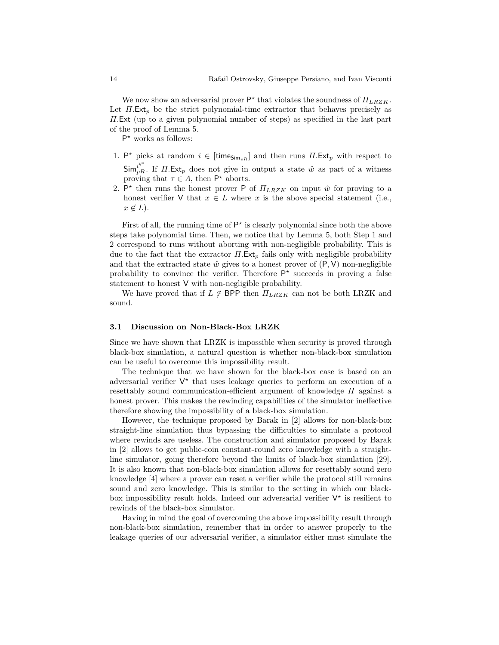We now show an adversarial prover  $P^*$  that violates the soundness of  $\Pi_{LRZK}$ . Let  $\Pi$ .Ext<sub>p</sub> be the strict polynomial-time extractor that behaves precisely as *Π.*Ext (up to a given polynomial number of steps) as specified in the last part of the proof of Lemma 5.

P<sup>\*</sup> works as follows:

- 1. P<sup>\*</sup> picks at random  $i \in [\text{times}_{\text{Sim}_{pR}}]$  and then runs  $\Pi$ .Ext<sub>p</sub> with respect to  $\sin^{i\vee\star}_{pR}$ . If *Π*.Ext<sub>p</sub> does not give in output a state  $\hat{w}$  as part of a witness proving that  $\tau \in \Lambda$ , then  $\mathsf{P}^{\star}$  aborts.
- 2. P<sup>\*</sup> then runs the honest prover P of  $\Pi_{LRZK}$  on input  $\hat{w}$  for proving to a honest verifier V that  $x \in L$  where  $x$  is the above special statement (i.e.,  $x \notin L$ ).

First of all, the running time of  $P^*$  is clearly polynomial since both the above steps take polynomial time. Then, we notice that by Lemma 5, both Step 1 and 2 correspond to runs without aborting with non-negligible probability. This is due to the fact that the extractor  $\Pi$ . Ext<sub>p</sub> fails only with negligible probability and that the extracted state  $\hat{w}$  gives to a honest prover of  $(P, V)$  non-negligible probability to convince the verifier. Therefore  $P^*$  succeeds in proving a false statement to honest V with non-negligible probability.

We have proved that if  $L \notin$  BPP then  $\Pi_{LRZK}$  can not be both LRZK and sound.

### **3.1 Discussion on Non-Black-Box LRZK**

Since we have shown that LRZK is impossible when security is proved through black-box simulation, a natural question is whether non-black-box simulation can be useful to overcome this impossibility result.

The technique that we have shown for the black-box case is based on an adversarial verifier  $V^*$  that uses leakage queries to perform an execution of a resettably sound communication-efficient argument of knowledge *Π* against a honest prover. This makes the rewinding capabilities of the simulator ineffective therefore showing the impossibility of a black-box simulation.

However, the technique proposed by Barak in [2] allows for non-black-box straight-line simulation thus bypassing the difficulties to simulate a protocol where rewinds are useless. The construction and simulator proposed by Barak in [2] allows to get public-coin constant-round zero knowledge with a straightline simulator, going therefore beyond the limits of black-box simulation [29]. It is also known that non-black-box simulation allows for resettably sound zero knowledge [4] where a prover can reset a verifier while the protocol still remains sound and zero knowledge. This is similar to the setting in which our blackbox impossibility result holds. Indeed our adversarial verifier  $V^*$  is resilient to rewinds of the black-box simulator.

Having in mind the goal of overcoming the above impossibility result through non-black-box simulation, remember that in order to answer properly to the leakage queries of our adversarial verifier, a simulator either must simulate the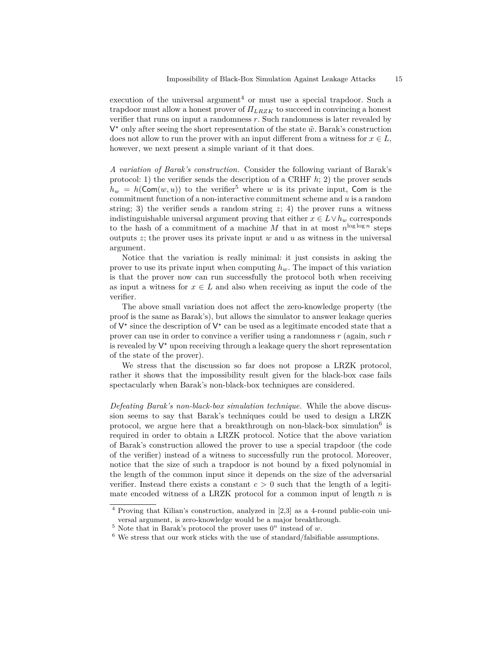execution of the universal argument<sup>4</sup> or must use a special trapdoor. Such a trapdoor must allow a honest prover of *ΠLRZK* to succeed in convincing a honest verifier that runs on input a randomness *r*. Such randomness is later revealed by  $V^*$  only after seeing the short representation of the state  $\tilde{w}$ . Barak's construction does not allow to run the prover with an input different from a witness for  $x \in L$ , however, we next present a simple variant of it that does.

*A variation of Barak's construction.* Consider the following variant of Barak's protocol: 1) the verifier sends the description of a CRHF *h*; 2) the prover sends  $h_w = h(\text{Com}(w, u))$  to the verifier<sup>5</sup> where *w* is its private input, Com is the commitment function of a non-interactive commitment scheme and *u* is a random string; 3) the verifier sends a random string  $z$ ; 4) the prover runs a witness indistinguishable universal argument proving that either  $x \in L \vee h_w$  corresponds to the hash of a commitment of a machine *M* that in at most  $n^{\log \log n}$  steps outputs *z*; the prover uses its private input *w* and *u* as witness in the universal argument.

Notice that the variation is really minimal: it just consists in asking the prover to use its private input when computing  $h_w$ . The impact of this variation is that the prover now can run successfully the protocol both when receiving as input a witness for  $x \in L$  and also when receiving as input the code of the verifier.

The above small variation does not affect the zero-knowledge property (the proof is the same as Barak's), but allows the simulator to answer leakage queries of  $V^*$  since the description of  $V^*$  can be used as a legitimate encoded state that a prover can use in order to convince a verifier using a randomness *r* (again, such *r* is revealed by  $V^*$  upon receiving through a leakage query the short representation of the state of the prover).

We stress that the discussion so far does not propose a LRZK protocol, rather it shows that the impossibility result given for the black-box case fails spectacularly when Barak's non-black-box techniques are considered.

*Defeating Barak's non-black-box simulation technique.* While the above discussion seems to say that Barak's techniques could be used to design a LRZK protocol, we argue here that a breakthrough on non-black-box simulation<sup>6</sup> is required in order to obtain a LRZK protocol. Notice that the above variation of Barak's construction allowed the prover to use a special trapdoor (the code of the verifier) instead of a witness to successfully run the protocol. Moreover, notice that the size of such a trapdoor is not bound by a fixed polynomial in the length of the common input since it depends on the size of the adversarial verifier. Instead there exists a constant  $c > 0$  such that the length of a legitimate encoded witness of a LRZK protocol for a common input of length *n* is

<sup>4</sup> Proving that Kilian's construction, analyzed in [2,3] as a 4-round public-coin universal argument, is zero-knowledge would be a major breakthrough.

<sup>&</sup>lt;sup>5</sup> Note that in Barak's protocol the prover uses  $0^n$  instead of *w*.

 $^6$  We stress that our work sticks with the use of standard/falsifiable assumptions.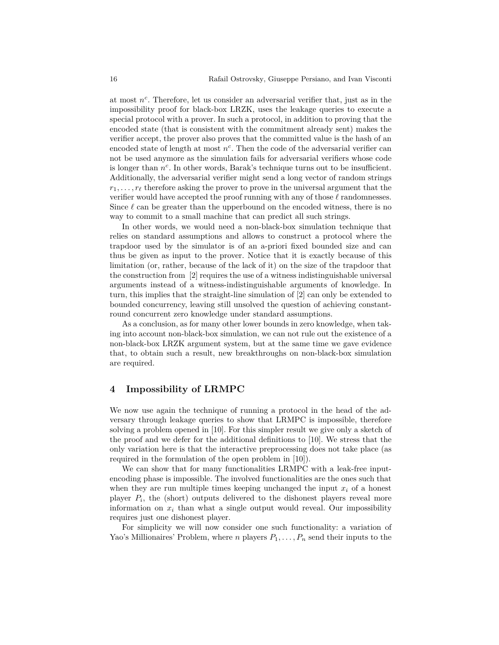at most *n c* . Therefore, let us consider an adversarial verifier that, just as in the impossibility proof for black-box LRZK, uses the leakage queries to execute a special protocol with a prover. In such a protocol, in addition to proving that the encoded state (that is consistent with the commitment already sent) makes the verifier accept, the prover also proves that the committed value is the hash of an encoded state of length at most  $n^c$ . Then the code of the adversarial verifier can not be used anymore as the simulation fails for adversarial verifiers whose code is longer than  $n^c$ . In other words, Barak's technique turns out to be insufficient. Additionally, the adversarial verifier might send a long vector of random strings  $r_1, \ldots, r_\ell$  therefore asking the prover to prove in the universal argument that the verifier would have accepted the proof running with any of those  $\ell$  randomnesses. Since  $\ell$  can be greater than the upperbound on the encoded witness, there is no way to commit to a small machine that can predict all such strings.

In other words, we would need a non-black-box simulation technique that relies on standard assumptions and allows to construct a protocol where the trapdoor used by the simulator is of an a-priori fixed bounded size and can thus be given as input to the prover. Notice that it is exactly because of this limitation (or, rather, because of the lack of it) on the size of the trapdoor that the construction from [2] requires the use of a witness indistinguishable universal arguments instead of a witness-indistinguishable arguments of knowledge. In turn, this implies that the straight-line simulation of [2] can only be extended to bounded concurrency, leaving still unsolved the question of achieving constantround concurrent zero knowledge under standard assumptions.

As a conclusion, as for many other lower bounds in zero knowledge, when taking into account non-black-box simulation, we can not rule out the existence of a non-black-box LRZK argument system, but at the same time we gave evidence that, to obtain such a result, new breakthroughs on non-black-box simulation are required.

# **4 Impossibility of LRMPC**

We now use again the technique of running a protocol in the head of the adversary through leakage queries to show that LRMPC is impossible, therefore solving a problem opened in [10]. For this simpler result we give only a sketch of the proof and we defer for the additional definitions to [10]. We stress that the only variation here is that the interactive preprocessing does not take place (as required in the formulation of the open problem in [10]).

We can show that for many functionalities LRMPC with a leak-free inputencoding phase is impossible. The involved functionalities are the ones such that when they are run multiple times keeping unchanged the input  $x_i$  of a honest player *P<sup>i</sup>* , the (short) outputs delivered to the dishonest players reveal more information on  $x_i$  than what a single output would reveal. Our impossibility requires just one dishonest player.

For simplicity we will now consider one such functionality: a variation of Yao's Millionaires' Problem, where *n* players  $P_1, \ldots, P_n$  send their inputs to the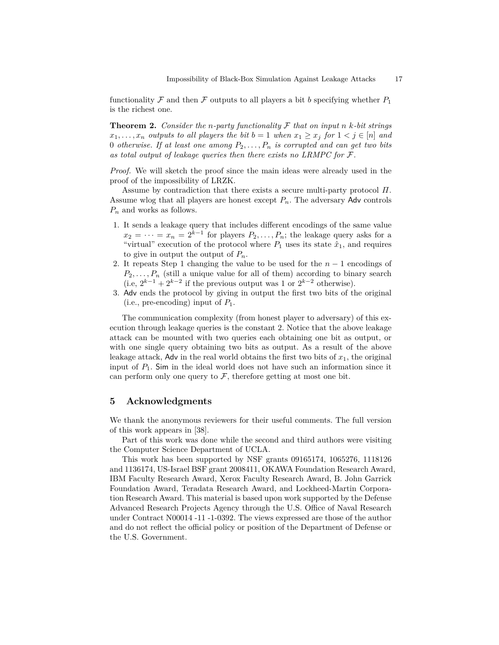functionality  $\mathcal F$  and then  $\mathcal F$  outputs to all players a bit *b* specifying whether  $P_1$ is the richest one.

**Theorem 2.** *Consider the n-party functionality*  $\mathcal F$  *that on input n k-bit strings*  $x_1, \ldots, x_n$  *outputs to all players the bit*  $b = 1$  *when*  $x_1 \geq x_j$  *for*  $1 < j \in [n]$  *and* 0 *otherwise. If at least one among*  $P_2, \ldots, P_n$  *is corrupted and can get two bits as total output of leakage queries then there exists no LRMPC for* F*.*

*Proof.* We will sketch the proof since the main ideas were already used in the proof of the impossibility of LRZK.

Assume by contradiction that there exists a secure multi-party protocol *Π*. Assume wlog that all players are honest except  $P_n$ . The adversary Adv controls *P<sup>n</sup>* and works as follows.

- 1. It sends a leakage query that includes different encodings of the same value  $x_2 = \cdots = x_n = 2^{k-1}$  for players  $P_2, \ldots, P_n$ ; the leakage query asks for a "virtual" execution of the protocol where  $P_1$  uses its state  $\hat{x}_1$ , and requires to give in output the output of  $P_n$ .
- 2. It repeats Step 1 changing the value to be used for the *n* − 1 encodings of  $P_2, \ldots, P_n$  (still a unique value for all of them) according to binary search (i.e,  $2^{k-1} + 2^{k-2}$  if the previous output was 1 or  $2^{k-2}$  otherwise).
- 3. Adv ends the protocol by giving in output the first two bits of the original (i.e., pre-encoding) input of  $P_1$ .

The communication complexity (from honest player to adversary) of this execution through leakage queries is the constant 2. Notice that the above leakage attack can be mounted with two queries each obtaining one bit as output, or with one single query obtaining two bits as output. As a result of the above leakage attack, Adv in the real world obtains the first two bits of  $x_1$ , the original input of  $P_1$ . Sim in the ideal world does not have such an information since it can perform only one query to  $\mathcal{F}$ , therefore getting at most one bit.

## **5 Acknowledgments**

We thank the anonymous reviewers for their useful comments. The full version of this work appears in [38].

Part of this work was done while the second and third authors were visiting the Computer Science Department of UCLA.

This work has been supported by NSF grants 09165174, 1065276, 1118126 and 1136174, US-Israel BSF grant 2008411, OKAWA Foundation Research Award, IBM Faculty Research Award, Xerox Faculty Research Award, B. John Garrick Foundation Award, Teradata Research Award, and Lockheed-Martin Corporation Research Award. This material is based upon work supported by the Defense Advanced Research Projects Agency through the U.S. Office of Naval Research under Contract N00014 -11 -1-0392. The views expressed are those of the author and do not reflect the official policy or position of the Department of Defense or the U.S. Government.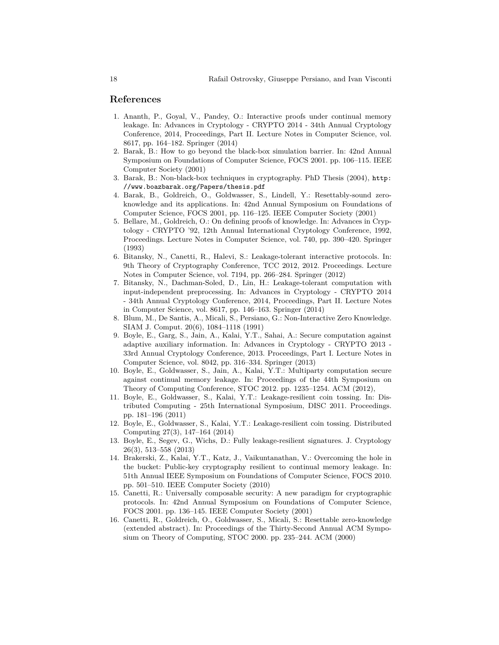## **References**

- 1. Ananth, P., Goyal, V., Pandey, O.: Interactive proofs under continual memory leakage. In: Advances in Cryptology - CRYPTO 2014 - 34th Annual Cryptology Conference, 2014, Proceedings, Part II. Lecture Notes in Computer Science, vol. 8617, pp. 164–182. Springer (2014)
- 2. Barak, B.: How to go beyond the black-box simulation barrier. In: 42nd Annual Symposium on Foundations of Computer Science, FOCS 2001. pp. 106–115. IEEE Computer Society (2001)
- 3. Barak, B.: Non-black-box techniques in cryptography. PhD Thesis (2004), http: //www.boazbarak.org/Papers/thesis.pdf
- 4. Barak, B., Goldreich, O., Goldwasser, S., Lindell, Y.: Resettably-sound zeroknowledge and its applications. In: 42nd Annual Symposium on Foundations of Computer Science, FOCS 2001, pp. 116–125. IEEE Computer Society (2001)
- 5. Bellare, M., Goldreich, O.: On defining proofs of knowledge. In: Advances in Cryptology - CRYPTO '92, 12th Annual International Cryptology Conference, 1992, Proceedings. Lecture Notes in Computer Science, vol. 740, pp. 390–420. Springer (1993)
- 6. Bitansky, N., Canetti, R., Halevi, S.: Leakage-tolerant interactive protocols. In: 9th Theory of Cryptography Conference, TCC 2012, 2012. Proceedings. Lecture Notes in Computer Science, vol. 7194, pp. 266–284. Springer (2012)
- 7. Bitansky, N., Dachman-Soled, D., Lin, H.: Leakage-tolerant computation with input-independent preprocessing. In: Advances in Cryptology - CRYPTO 2014 - 34th Annual Cryptology Conference, 2014, Proceedings, Part II. Lecture Notes in Computer Science, vol. 8617, pp. 146–163. Springer (2014)
- 8. Blum, M., De Santis, A., Micali, S., Persiano, G.: Non-Interactive Zero Knowledge. SIAM J. Comput. 20(6), 1084–1118 (1991)
- 9. Boyle, E., Garg, S., Jain, A., Kalai, Y.T., Sahai, A.: Secure computation against adaptive auxiliary information. In: Advances in Cryptology - CRYPTO 2013 - 33rd Annual Cryptology Conference, 2013. Proceedings, Part I. Lecture Notes in Computer Science, vol. 8042, pp. 316–334. Springer (2013)
- 10. Boyle, E., Goldwasser, S., Jain, A., Kalai, Y.T.: Multiparty computation secure against continual memory leakage. In: Proceedings of the 44th Symposium on Theory of Computing Conference, STOC 2012. pp. 1235–1254. ACM (2012),
- 11. Boyle, E., Goldwasser, S., Kalai, Y.T.: Leakage-resilient coin tossing. In: Distributed Computing - 25th International Symposium, DISC 2011. Proceedings. pp. 181–196 (2011)
- 12. Boyle, E., Goldwasser, S., Kalai, Y.T.: Leakage-resilient coin tossing. Distributed Computing 27(3), 147–164 (2014)
- 13. Boyle, E., Segev, G., Wichs, D.: Fully leakage-resilient signatures. J. Cryptology 26(3), 513–558 (2013)
- 14. Brakerski, Z., Kalai, Y.T., Katz, J., Vaikuntanathan, V.: Overcoming the hole in the bucket: Public-key cryptography resilient to continual memory leakage. In: 51th Annual IEEE Symposium on Foundations of Computer Science, FOCS 2010. pp. 501–510. IEEE Computer Society (2010)
- 15. Canetti, R.: Universally composable security: A new paradigm for cryptographic protocols. In: 42nd Annual Symposium on Foundations of Computer Science, FOCS 2001. pp. 136–145. IEEE Computer Society (2001)
- 16. Canetti, R., Goldreich, O., Goldwasser, S., Micali, S.: Resettable zero-knowledge (extended abstract). In: Proceedings of the Thirty-Second Annual ACM Symposium on Theory of Computing, STOC 2000. pp. 235–244. ACM (2000)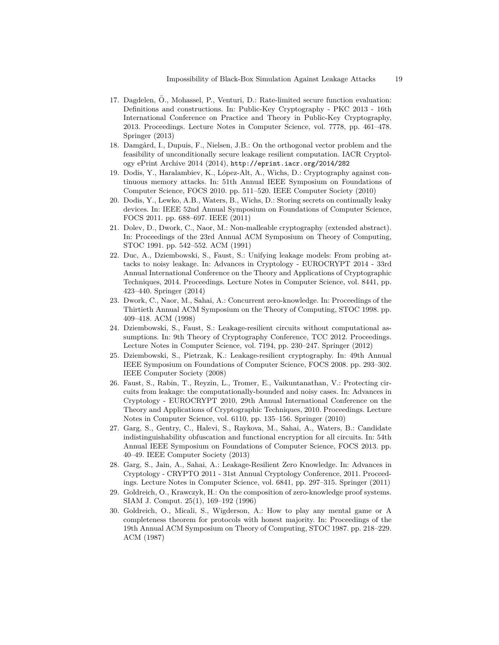- 17. Dagdelen, O., Mohassel, P., Venturi, D.: Rate-limited secure function evaluation: ¨ Definitions and constructions. In: Public-Key Cryptography - PKC 2013 - 16th International Conference on Practice and Theory in Public-Key Cryptography, 2013. Proceedings. Lecture Notes in Computer Science, vol. 7778, pp. 461–478. Springer (2013)
- 18. Damgård, I., Dupuis, F., Nielsen, J.B.: On the orthogonal vector problem and the feasibility of unconditionally secure leakage resilient computation. IACR Cryptology ePrint Archive 2014 (2014), http://eprint.iacr.org/2014/282
- 19. Dodis, Y., Haralambiev, K., López-Alt, A., Wichs, D.: Cryptography against continuous memory attacks. In: 51th Annual IEEE Symposium on Foundations of Computer Science, FOCS 2010. pp. 511–520. IEEE Computer Society (2010)
- 20. Dodis, Y., Lewko, A.B., Waters, B., Wichs, D.: Storing secrets on continually leaky devices. In: IEEE 52nd Annual Symposium on Foundations of Computer Science, FOCS 2011. pp. 688–697. IEEE (2011)
- 21. Dolev, D., Dwork, C., Naor, M.: Non-malleable cryptography (extended abstract). In: Proceedings of the 23rd Annual ACM Symposium on Theory of Computing, STOC 1991. pp. 542–552. ACM (1991)
- 22. Duc, A., Dziembowski, S., Faust, S.: Unifying leakage models: From probing attacks to noisy leakage. In: Advances in Cryptology - EUROCRYPT 2014 - 33rd Annual International Conference on the Theory and Applications of Cryptographic Techniques, 2014. Proceedings. Lecture Notes in Computer Science, vol. 8441, pp. 423–440. Springer (2014)
- 23. Dwork, C., Naor, M., Sahai, A.: Concurrent zero-knowledge. In: Proceedings of the Thirtieth Annual ACM Symposium on the Theory of Computing, STOC 1998. pp. 409–418. ACM (1998)
- 24. Dziembowski, S., Faust, S.: Leakage-resilient circuits without computational assumptions. In: 9th Theory of Cryptography Conference, TCC 2012. Proceedings. Lecture Notes in Computer Science, vol. 7194, pp. 230–247. Springer (2012)
- 25. Dziembowski, S., Pietrzak, K.: Leakage-resilient cryptography. In: 49th Annual IEEE Symposium on Foundations of Computer Science, FOCS 2008. pp. 293–302. IEEE Computer Society (2008)
- 26. Faust, S., Rabin, T., Reyzin, L., Tromer, E., Vaikuntanathan, V.: Protecting circuits from leakage: the computationally-bounded and noisy cases. In: Advances in Cryptology - EUROCRYPT 2010, 29th Annual International Conference on the Theory and Applications of Cryptographic Techniques, 2010. Proceedings. Lecture Notes in Computer Science, vol. 6110, pp. 135–156. Springer (2010)
- 27. Garg, S., Gentry, C., Halevi, S., Raykova, M., Sahai, A., Waters, B.: Candidate indistinguishability obfuscation and functional encryption for all circuits. In: 54th Annual IEEE Symposium on Foundations of Computer Science, FOCS 2013. pp. 40–49. IEEE Computer Society (2013)
- 28. Garg, S., Jain, A., Sahai, A.: Leakage-Resilient Zero Knowledge. In: Advances in Cryptology - CRYPTO 2011 - 31st Annual Cryptology Conference, 2011. Proceedings. Lecture Notes in Computer Science, vol. 6841, pp. 297–315. Springer (2011)
- 29. Goldreich, O., Krawczyk, H.: On the composition of zero-knowledge proof systems. SIAM J. Comput. 25(1), 169–192 (1996)
- 30. Goldreich, O., Micali, S., Wigderson, A.: How to play any mental game or A completeness theorem for protocols with honest majority. In: Proceedings of the 19th Annual ACM Symposium on Theory of Computing, STOC 1987. pp. 218–229. ACM (1987)